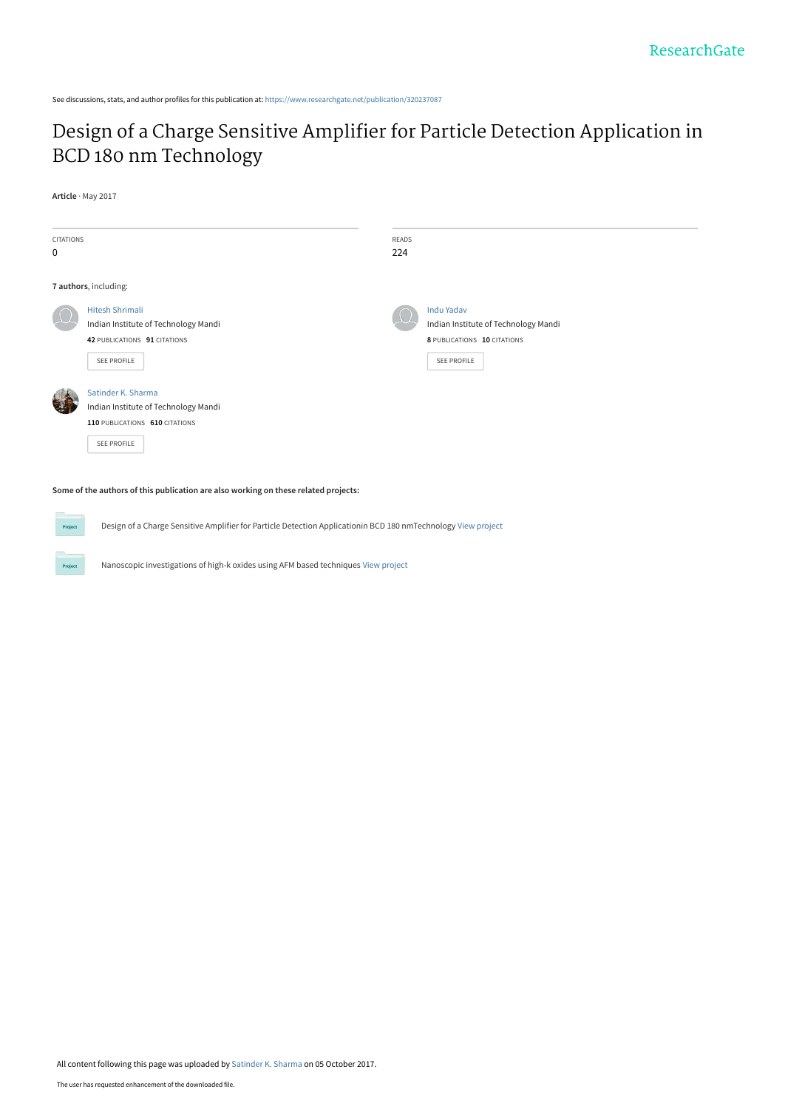See discussions, stats, and author profiles for this publication at: [https://www.researchgate.net/publication/320237087](https://www.researchgate.net/publication/320237087_Design_of_a_Charge_Sensitive_Amplifier_for_Particle_Detection_Application_in_BCD_180_nm_Technology?enrichId=rgreq-549983620044b6f375f703cc09c83dca-XXX&enrichSource=Y292ZXJQYWdlOzMyMDIzNzA4NztBUzo1NDYxNTUzMjI5MzMyNDhAMTUwNzIyNDk4NDA4Nw%3D%3D&el=1_x_2&_esc=publicationCoverPdf)

## [Design of a Charge Sensitive Amplifier for Particle Detection Application in](https://www.researchgate.net/publication/320237087_Design_of_a_Charge_Sensitive_Amplifier_for_Particle_Detection_Application_in_BCD_180_nm_Technology?enrichId=rgreq-549983620044b6f375f703cc09c83dca-XXX&enrichSource=Y292ZXJQYWdlOzMyMDIzNzA4NztBUzo1NDYxNTUzMjI5MzMyNDhAMTUwNzIyNDk4NDA4Nw%3D%3D&el=1_x_3&_esc=publicationCoverPdf) BCD 180 nm Technology

#### **Article** · May 2017

| <b>CITATIONS</b><br>$\mathbf 0$ |                                                                                                               | READS<br>224 |                                                                                                         |
|---------------------------------|---------------------------------------------------------------------------------------------------------------|--------------|---------------------------------------------------------------------------------------------------------|
|                                 | 7 authors, including:                                                                                         |              |                                                                                                         |
|                                 | <b>Hitesh Shrimali</b><br>Indian Institute of Technology Mandi<br>42 PUBLICATIONS 91 CITATIONS<br>SEE PROFILE |              | <b>Indu Yadav</b><br>Indian Institute of Technology Mandi<br>8 PUBLICATIONS 10 CITATIONS<br>SEE PROFILE |
|                                 | Satinder K. Sharma<br>Indian Institute of Technology Mandi<br>110 PUBLICATIONS 610 CITATIONS<br>SEE PROFILE   |              |                                                                                                         |

#### **Some of the authors of this publication are also working on these related projects:**

Design of a Charge Sensitive Amplifier for Particle Detection Applicationin BCD 180 nmTechnology [View project](https://www.researchgate.net/project/Design-of-a-Charge-Sensitive-Amplifier-for-Particle-Detection-Applicationin-BCD-180-nmTechnology?enrichId=rgreq-549983620044b6f375f703cc09c83dca-XXX&enrichSource=Y292ZXJQYWdlOzMyMDIzNzA4NztBUzo1NDYxNTUzMjI5MzMyNDhAMTUwNzIyNDk4NDA4Nw%3D%3D&el=1_x_9&_esc=publicationCoverPdf)

**Project** 

Nanoscopic investigations of high-k oxides using AFM based techniques [View project](https://www.researchgate.net/project/Nanoscopic-investigations-of-high-k-oxides-using-AFM-based-techniques?enrichId=rgreq-549983620044b6f375f703cc09c83dca-XXX&enrichSource=Y292ZXJQYWdlOzMyMDIzNzA4NztBUzo1NDYxNTUzMjI5MzMyNDhAMTUwNzIyNDk4NDA4Nw%3D%3D&el=1_x_9&_esc=publicationCoverPdf)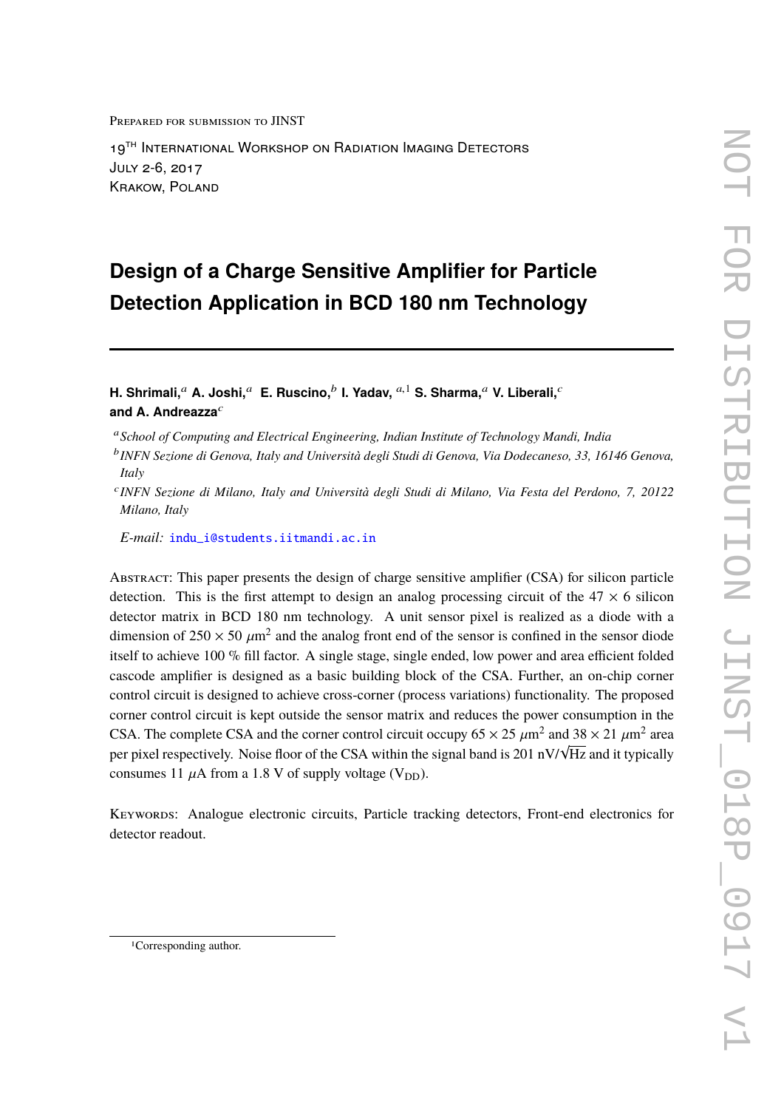Prepared for submission to JINST

19<sup>TH</sup> INTERNATIONAL WORKSHOP ON RADIATION IMAGING DETECTORS July 2-6, 2017 Krakow, Poland

# **Design of a Charge Sensitive Amplifier for Particle Detection Application in BCD 180 nm Technology**

**H.** Shrimali, $^a$  A. Joshi, $^a$  E. Ruscino, $^b$  I. Yadav,  $^{a,1}$  S. Sharma, $^a$  V. Liberali, $^c$ and A. Andreazza<sup>c</sup>

c *INFN Sezione di Milano, Italy and Università degli Studi di Milano, Via Festa del Perdono, 7, 20122 Milano, Italy*

*E-mail:* [indu\\_i@students.iitmandi.ac.in](mailto:indu_i@students.iitmandi.ac.in)

Abstract: This paper presents the design of charge sensitive amplifier (CSA) for silicon particle detection. This is the first attempt to design an analog processing circuit of the  $47 \times 6$  silicon detector matrix in BCD 180 nm technology. A unit sensor pixel is realized as a diode with a dimension of  $250 \times 50 \ \mu m^2$  and the analog front end of the sensor is confined in the sensor diode<br>itself to objects 100  $\%$  60 for a 4 single steps single anded low news and area officient folded itself to achieve 100 % fill factor. A single stage, single ended, low power and area efficient folded cascode amplifier is designed as a basic building block of the CSA. Further, an on-chip corner control circuit is designed to achieve cross-corner (process variations) functionality. The proposed corner control circuit is kept outside the sensor matrix and reduces the power consumption in the CSA. The complete CSA and the corner control circuit occupy  $65 \times 25 \mu m^2$  and  $38 \times 21 \mu m^2$  area<br>non rivel regnesively. Noise floor of the CSA within the signal hand is 201 nN/h/Hz and it tuniselly LSA. The complete CSA and the corner control criterit occupy of  $\times$  25  $\mu$ m and 38  $\times$  21  $\mu$ m area<br>per pixel respectively. Noise floor of the CSA within the signal band is 201 nV/√Hz and it typically consumes 11  $\mu$ A from a 1.8 V of supply voltage (V<sub>DD</sub>).

KEYWORDS: Analogue electronic circuits, Particle tracking detectors, Front-end electronics for detector readout.

<sup>a</sup>*School of Computing and Electrical Engineering, Indian Institute of Technology Mandi, India*

b *INFN Sezione di Genova, Italy and Università degli Studi di Genova, Via Dodecaneso, 33, 16146 Genova, Italy*

<sup>1</sup>Corresponding author.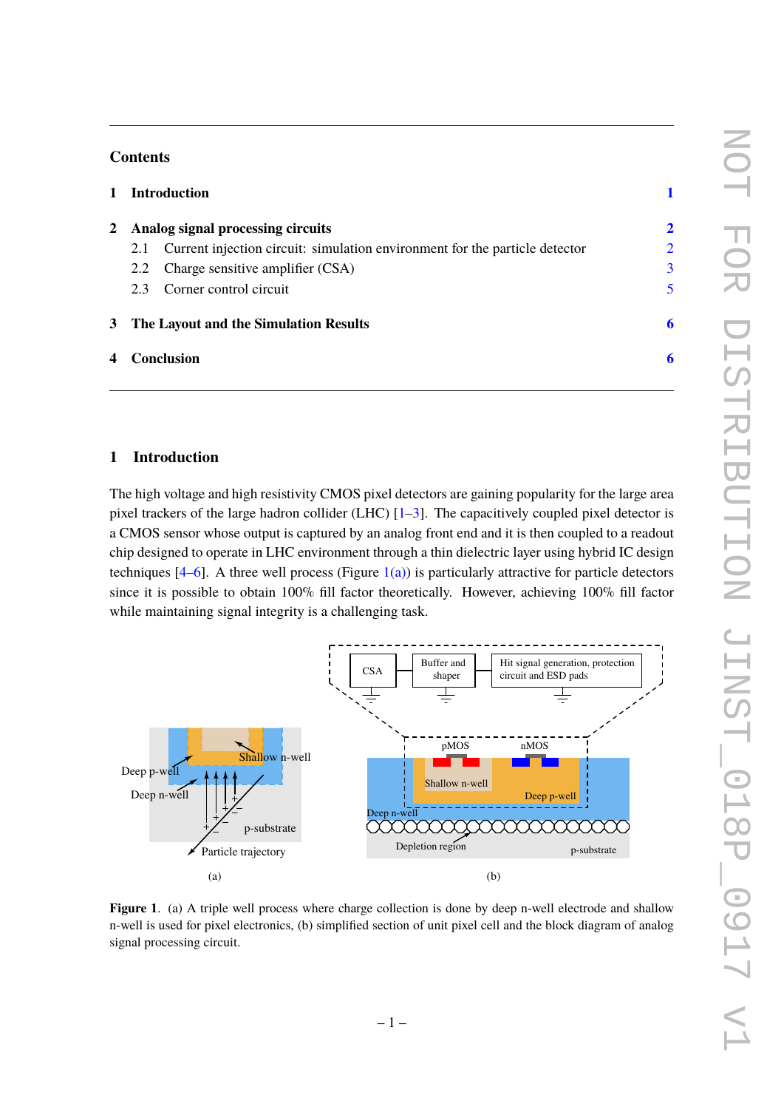### **Contents**

| $\mathbf{1}$ |                                     | <b>Introduction</b>                                                         |                |
|--------------|-------------------------------------|-----------------------------------------------------------------------------|----------------|
|              | 2 Analog signal processing circuits |                                                                             | $\overline{2}$ |
|              | 2.1                                 | Current injection circuit: simulation environment for the particle detector | $\overline{2}$ |
|              |                                     | 2.2 Charge sensitive amplifier (CSA)                                        | $\overline{3}$ |
|              |                                     | 2.3 Corner control circuit                                                  | 5              |
|              |                                     | 3 The Layout and the Simulation Results                                     | 6              |
|              |                                     | 4 Conclusion                                                                | 6              |

## <span id="page-2-0"></span>**1 Introduction**

The high voltage and high resistivity CMOS pixel detectors are gaining popularity for the large area pixel trackers of the large hadron collider (LHC) [\[1](#page-9-0)[–3\]](#page-9-1). The capacitively coupled pixel detector is a CMOS sensor whose output is captured by an analog front end and it is then coupled to a readout chip designed to operate in LHC environment through a thin dielectric layer using hybrid IC design techniques  $[4–6]$  $[4–6]$ . A three well process (Figure  $1(a)$ ) is particularly attractive for particle detectors since it is possible to obtain 100% fill factor theoretically. However, achieving 100% fill factor while maintaining signal integrity is a challenging task.

<span id="page-2-1"></span>

<span id="page-2-2"></span>**Figure 1.** (a) A triple well process where charge collection is done by deep n-well electrode and shallow n-well is used for pixel electronics, (b) simplified section of unit pixel cell and the block diagram of analog signal processing circuit.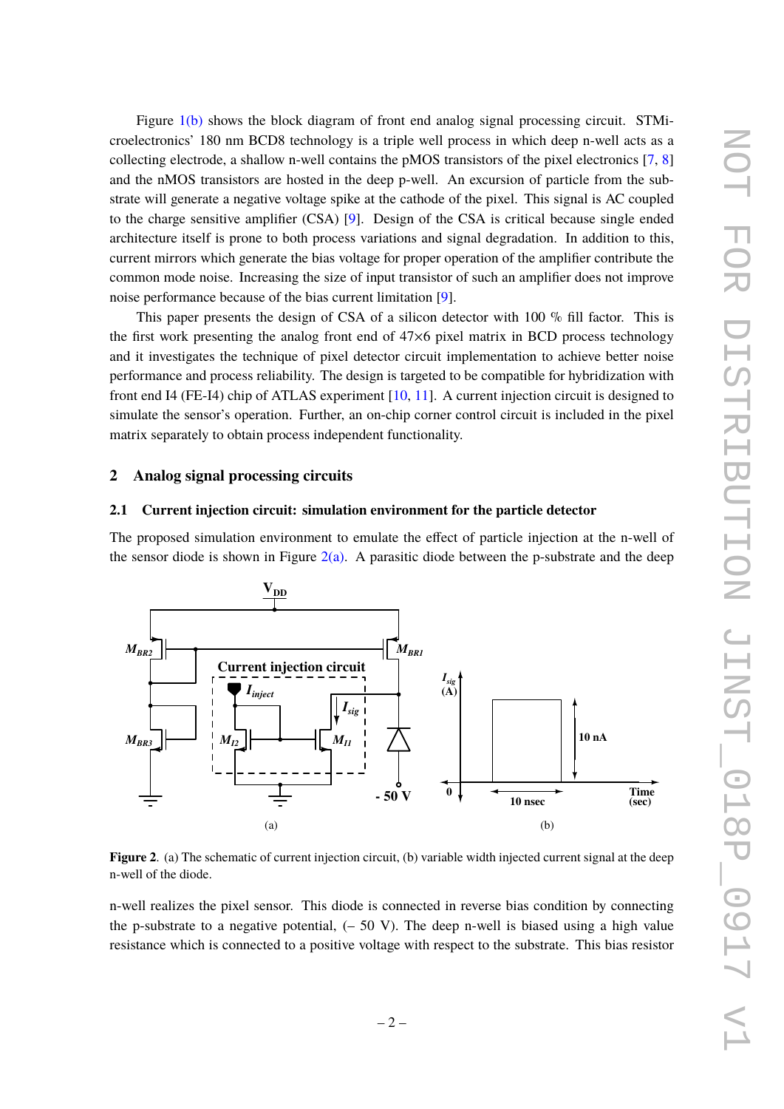Figure [1\(b\)](#page-2-2) shows the block diagram of front end analog signal processing circuit. STMicroelectronics' 180 nm BCD8 technology is a triple well process in which deep n-well acts as a collecting electrode, a shallow n-well contains the pMOS transistors of the pixel electronics [\[7,](#page-9-4) [8\]](#page-9-5) and the nMOS transistors are hosted in the deep p-well. An excursion of particle from the substrate will generate a negative voltage spike at the cathode of the pixel. This signal is AC coupled to the charge sensitive amplifier (CSA) [\[9\]](#page-9-6). Design of the CSA is critical because single ended architecture itself is prone to both process variations and signal degradation. In addition to this, current mirrors which generate the bias voltage for proper operation of the amplifier contribute the common mode noise. Increasing the size of input transistor of such an amplifier does not improve noise performance because of the bias current limitation [\[9\]](#page-9-6).

This paper presents the design of CSA of a silicon detector with 100 % fill factor. This is the first work presenting the analog front end of 47×6 pixel matrix in BCD process technology and it investigates the technique of pixel detector circuit implementation to achieve better noise performance and process reliability. The design is targeted to be compatible for hybridization with front end I4 (FE-I4) chip of ATLAS experiment [\[10,](#page-9-7) [11\]](#page-9-8). A current injection circuit is designed to simulate the sensor's operation. Further, an on-chip corner control circuit is included in the pixel matrix separately to obtain process independent functionality.

#### <span id="page-3-0"></span>**2 Analog signal processing circuits**

#### <span id="page-3-1"></span>**2.1 Current injection circuit: simulation environment for the particle detector**

The proposed simulation environment to emulate the effect of particle injection at the n-well of the sensor diode is shown in Figure  $2(a)$ . A parasitic diode between the p-substrate and the deep

<span id="page-3-2"></span>

<span id="page-3-3"></span>**Figure 2.** (a) The schematic of current injection circuit, (b) variable width injected current signal at the deep n-well of the diode.

n-well realizes the pixel sensor. This diode is connected in reverse bias condition by connecting the p-substrate to a negative potential,  $(-50 \text{ V})$ . The deep n-well is biased using a high value resistance which is connected to a positive voltage with respect to the substrate. This bias resistor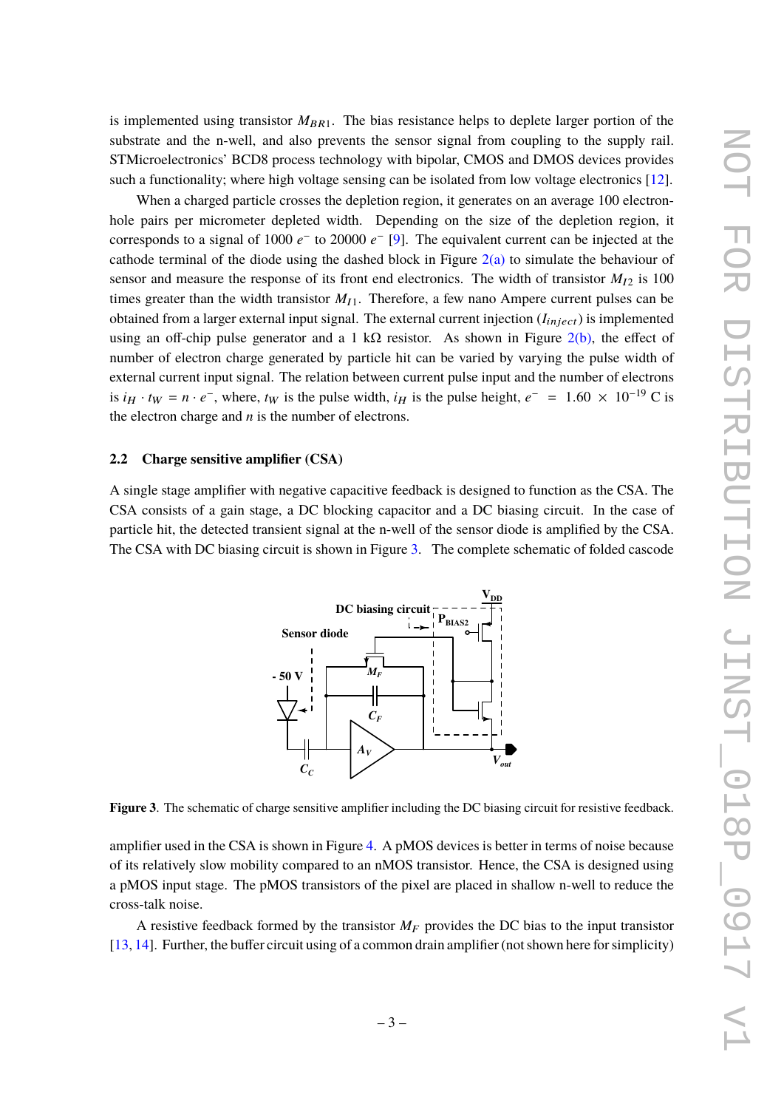is implemented using transistor  $M_{BR1}$ . The bias resistance helps to deplete larger portion of the substrate and the n-well, and also prevents the sensor signal from coupling to the supply rail. STMicroelectronics' BCD8 process technology with bipolar, CMOS and DMOS devices provides such a functionality; where high voltage sensing can be isolated from low voltage electronics [\[12\]](#page-9-9).

When a charged particle crosses the depletion region, it generates on an average 100 electronhole pairs per micrometer depleted width. Depending on the size of the depletion region, it corresponds to a signal of 1000  $e^-$  to 20000  $e^-$  [\[9\]](#page-9-6). The equivalent current can be injected at the cathode terminal of the diode using the dashed block in Figure  $2(a)$  to simulate the behaviour of sensor and measure the response of its front end electronics. The width of transistor  $M_{I2}$  is 100 times greater than the width transistor  $M_{11}$ . Therefore, a few nano Ampere current pulses can be obtained from a larger external input signal. The external current injection  $(I_{inject})$  is implemented using an off-chip pulse generator and a 1 kΩ resistor. As shown in Figure  $2(b)$ , the effect of number of electron charge generated by particle hit can be varied by varying the pulse width of external current input signal. The relation between current pulse input and the number of electrons is  $i_H \cdot t_W = n \cdot e^-$ , where,  $t_W$  is the pulse width,  $i_H$  is the pulse height,  $e^- = 1.60 \times 10^{-19}$  C is the algebra above and *n* is the number of algebras. the electron charge and *n* is the number of electrons.

#### <span id="page-4-0"></span>**2.2 Charge sensitive amplifier (CSA)**

A single stage amplifier with negative capacitive feedback is designed to function as the CSA. The CSA consists of a gain stage, a DC blocking capacitor and a DC biasing circuit. In the case of particle hit, the detected transient signal at the n-well of the sensor diode is amplified by the CSA. The CSA with DC biasing circuit is shown in Figure [3.](#page-4-1) The complete schematic of folded cascode



<span id="page-4-1"></span>**Figure 3**. The schematic of charge sensitive amplifier including the DC biasing circuit for resistive feedback.

amplifier used in the CSA is shown in Figure [4.](#page-5-0) A pMOS devices is better in terms of noise because of its relatively slow mobility compared to an nMOS transistor. Hence, the CSA is designed using a pMOS input stage. The pMOS transistors of the pixel are placed in shallow n-well to reduce the cross-talk noise.

A resistive feedback formed by the transistor  $M_F$  provides the DC bias to the input transistor [\[13,](#page-9-10) [14\]](#page-9-11). Further, the buffer circuit using of a common drain amplifier (not shown here for simplicity)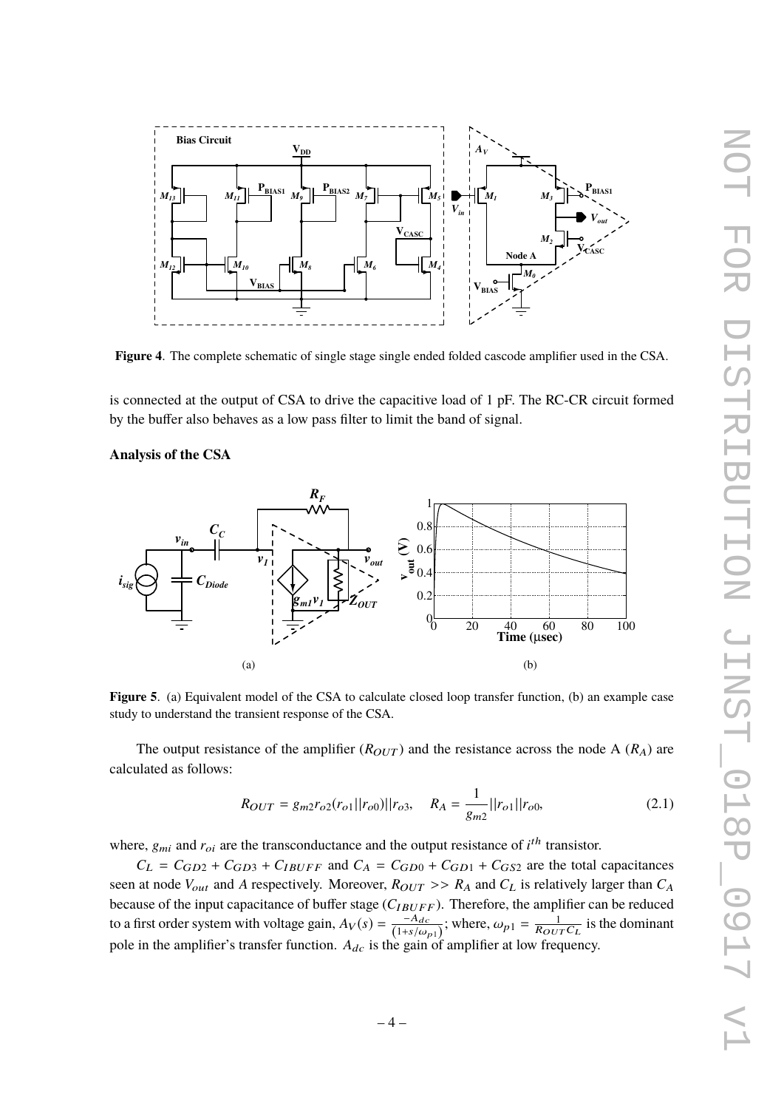

<span id="page-5-0"></span>**Figure 4**. The complete schematic of single stage single ended folded cascode amplifier used in the CSA.

is connected at the output of CSA to drive the capacitive load of 1 pF. The RC-CR circuit formed by the buffer also behaves as a low pass filter to limit the band of signal.

#### **Analysis of the CSA**

<span id="page-5-1"></span>

**Figure 5**. (a) Equivalent model of the CSA to calculate closed loop transfer function, (b) an example case study to understand the transient response of the CSA.

The output resistance of the amplifier  $(R_{OUT})$  and the resistance across the node A  $(R_A)$  are calculated as follows:

<span id="page-5-2"></span>
$$
R_{OUT} = g_{m2}r_{o2}(r_{o1}||r_{o0})||r_{o3}, \quad R_A = \frac{1}{g_{m2}}||r_{o1}||r_{o0}, \tag{2.1}
$$

where,  $g_{mi}$  and  $r_{oi}$  are the transconductance and the output resistance of  $i^{th}$  transistor.

 $C_L = C_{GD2} + C_{GD3} + C_{IBUFF}$  and  $C_A = C_{GD0} + C_{GD1} + C_{GS2}$  are the total capacitances seen at node  $V_{out}$  and *A* respectively. Moreover,  $R_{OUT} >> R_A$  and  $C_L$  is relatively larger than  $C_A$ because of the input capacitance of buffer stage ( $C_{IBUFF}$ ). Therefore, the amplifier can be reduced to a first order system with voltage gain,  $A_V(s) = \frac{-A_{dc}}{(1+s/a)}$  $\frac{-A_{dc}}{(1+s/\omega_{p1})}$ ; where,  $\omega_{p1} = \frac{1}{R_{OUT}C_L}$  is the dominant pole in the amplifier's transfer function.  $A_{dc}$  is the gain of amplifier at low frequency.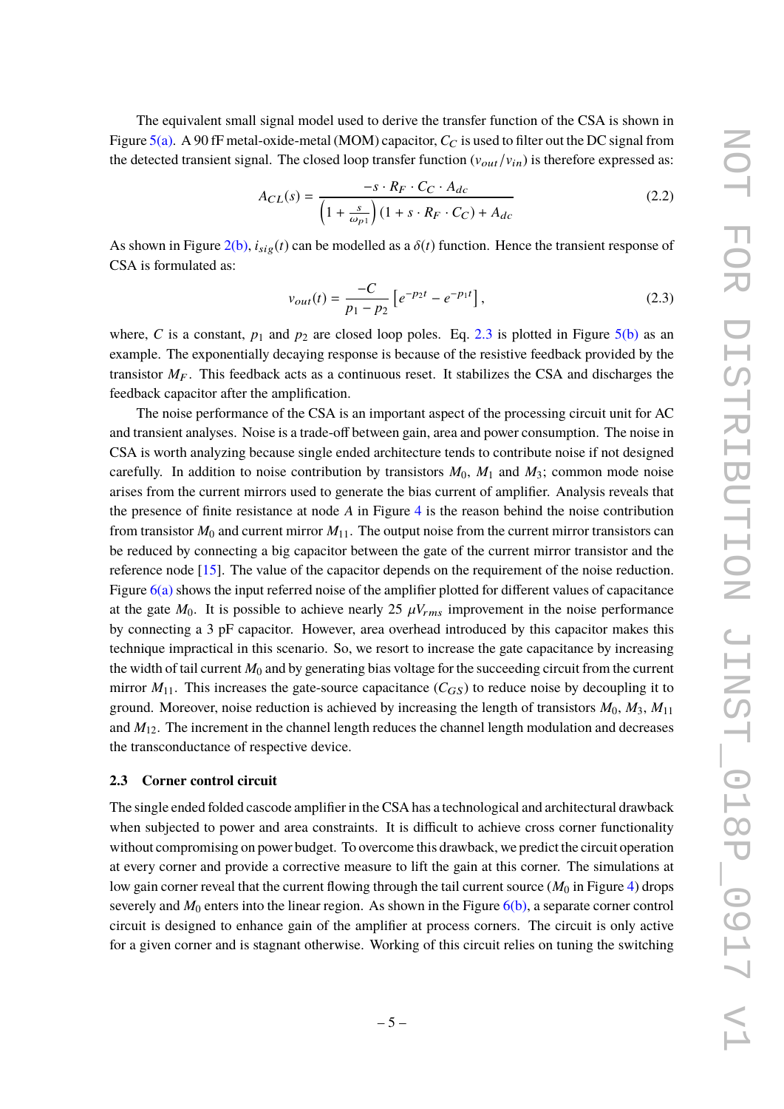The equivalent small signal model used to derive the transfer function of the CSA is shown in Figure [5\(a\).](#page-5-1) A 90 fF metal-oxide-metal (MOM) capacitor,  $C_C$  is used to filter out the DC signal from the detected transient signal. The closed loop transfer function  $(v_{out}/v_{in})$  is therefore expressed as:

$$
A_{CL}(s) = \frac{-s \cdot R_F \cdot C_C \cdot A_{dc}}{\left(1 + \frac{s}{\omega_{P1}}\right) \left(1 + s \cdot R_F \cdot C_C\right) + A_{dc}}
$$
\n(2.2)

As shown in Figure  $2(b)$ ,  $i_{sig}(t)$  can be modelled as a  $\delta(t)$  function. Hence the transient response of CSA is formulated as:

<span id="page-6-1"></span>
$$
v_{out}(t) = \frac{-C}{p_1 - p_2} \left[ e^{-p_2 t} - e^{-p_1 t} \right],\tag{2.3}
$$

where, *C* is a constant,  $p_1$  and  $p_2$  are closed loop poles. Eq. [2.3](#page-6-1) is plotted in Figure [5\(b\)](#page-5-2) as an example. The exponentially decaying response is because of the resistive feedback provided by the transistor  $M_F$ . This feedback acts as a continuous reset. It stabilizes the CSA and discharges the feedback capacitor after the amplification.

The noise performance of the CSA is an important aspect of the processing circuit unit for AC and transient analyses. Noise is a trade-off between gain, area and power consumption. The noise in CSA is worth analyzing because single ended architecture tends to contribute noise if not designed carefully. In addition to noise contribution by transistors  $M_0$ ,  $M_1$  and  $M_3$ ; common mode noise arises from the current mirrors used to generate the bias current of amplifier. Analysis reveals that the presence of finite resistance at node *A* in Figure [4](#page-5-0) is the reason behind the noise contribution from transistor  $M_0$  and current mirror  $M_{11}$ . The output noise from the current mirror transistors can be reduced by connecting a big capacitor between the gate of the current mirror transistor and the reference node [\[15\]](#page-9-12). The value of the capacitor depends on the requirement of the noise reduction. Figure  $6(a)$  shows the input referred noise of the amplifier plotted for different values of capacitance at the gate  $M_0$ . It is possible to achieve nearly 25  $\mu V_{rms}$  improvement in the noise performance by connecting a 3 pF capacitor. However, area overhead introduced by this capacitor makes this technique impractical in this scenario. So, we resort to increase the gate capacitance by increasing the width of tail current  $M_0$  and by generating bias voltage for the succeeding circuit from the current mirror  $M_{11}$ . This increases the gate-source capacitance  $(C_{GS})$  to reduce noise by decoupling it to ground. Moreover, noise reduction is achieved by increasing the length of transistors  $M_0$ ,  $M_3$ ,  $M_{11}$ and  $M_{12}$ . The increment in the channel length reduces the channel length modulation and decreases the transconductance of respective device.

#### <span id="page-6-0"></span>**2.3 Corner control circuit**

The single ended folded cascode amplifier in the CSA has a technological and architectural drawback when subjected to power and area constraints. It is difficult to achieve cross corner functionality without compromising on power budget. To overcome this drawback, we predict the circuit operation at every corner and provide a corrective measure to lift the gain at this corner. The simulations at low gain corner reveal that the current flowing through the tail current source  $(M_0$  in Figure [4\)](#page-5-0) drops severely and  $M_0$  enters into the linear region. As shown in the Figure  $6(b)$ , a separate corner control circuit is designed to enhance gain of the amplifier at process corners. The circuit is only active for a given corner and is stagnant otherwise. Working of this circuit relies on tuning the switching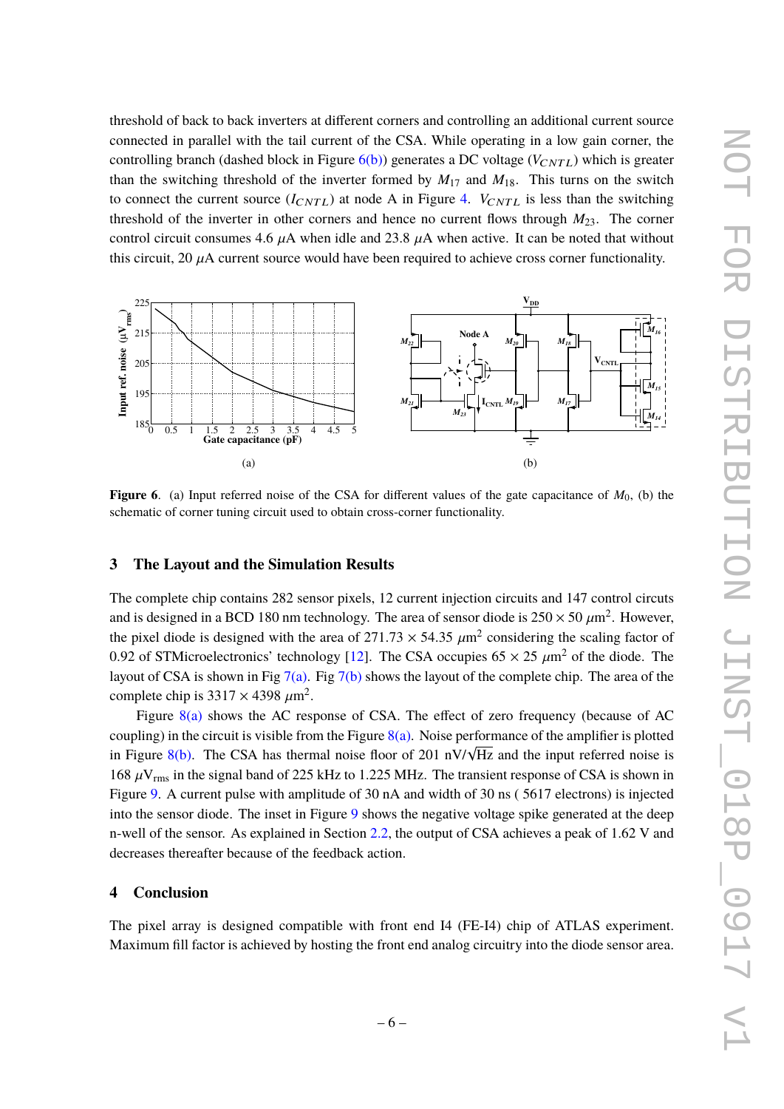threshold of back to back inverters at different corners and controlling an additional current source connected in parallel with the tail current of the CSA. While operating in a low gain corner, the controlling branch (dashed block in Figure  $6(b)$ ) generates a DC voltage ( $V_{CNTL}$ ) which is greater than the switching threshold of the inverter formed by  $M_{17}$  and  $M_{18}$ . This turns on the switch to connect the current source  $(I_{CNTL})$  at node A in Figure [4.](#page-5-0)  $V_{CNTL}$  is less than the switching threshold of the inverter in other corners and hence no current flows through  $M_{23}$ . The corner control circuit consumes 4.6  $\mu$ A when idle and 23.8  $\mu$ A when active. It can be noted that without this circuit, 20  $\mu$ A current source would have been required to achieve cross corner functionality.

<span id="page-7-2"></span>

<span id="page-7-3"></span>**Figure 6.** (a) Input referred noise of the CSA for different values of the gate capacitance of  $M_0$ , (b) the schematic of corner tuning circuit used to obtain cross-corner functionality.

#### <span id="page-7-0"></span>**3 The Layout and the Simulation Results**

The complete chip contains 282 sensor pixels, 12 current injection circuits and 147 control circuts and is designed in a BCD 180 nm technology. The area of sensor diode is  $250 \times 50 \mu m^2$ . However, the givel diode is designed with the area of  $271.72 \times 54.25 \mu m^2$  considering the scaling fector of the pixel diode is designed with the area of  $271.73 \times 54.35 \mu m^2$  considering the scaling factor of 0.02 of STM investor the scaling factor of 0.92 of STMicroelectronics' technology [\[12\]](#page-9-9). The CSA occupies  $65 \times 25 \mu m^2$  of the diode. The layout of CSA is shown in Fig [7\(a\).](#page-8-0) Fig [7\(b\)](#page-8-1) shows the layout of the complete chip. The area of the complete chip is  $3317 \times 4398 \mu m^2$ .<br>Figure 8(a) shows the AG asset

Figure [8\(a\)](#page-8-2) shows the AC response of CSA. The effect of zero frequency (because of AC coupling) in the circuit is visible from the Figure  $8(a)$ . Noise performance of the amplifier is plotted coupling) in the cheat is visible from the Figure  $\delta(a)$ . Tooke performance of the amplifier is protted<br>in Figure [8\(b\).](#page-8-3) The CSA has thermal noise floor of 201 nV/ $\sqrt{Hz}$  and the input referred noise is 168  $\mu$ V<sub>rms</sub> in the signal band of 225 kHz to 1.225 MHz. The transient response of CSA is shown in Figure [9.](#page-8-4) A current pulse with amplitude of 30 nA and width of 30 ns ( 5617 electrons) is injected into the sensor diode. The inset in Figure [9](#page-8-4) shows the negative voltage spike generated at the deep n-well of the sensor. As explained in Section [2.2,](#page-4-0) the output of CSA achieves a peak of 1.62 V and decreases thereafter because of the feedback action.

#### <span id="page-7-1"></span>**4 Conclusion**

The pixel array is designed compatible with front end I4 (FE-I4) chip of ATLAS experiment. Maximum fill factor is achieved by hosting the front end analog circuitry into the diode sensor area.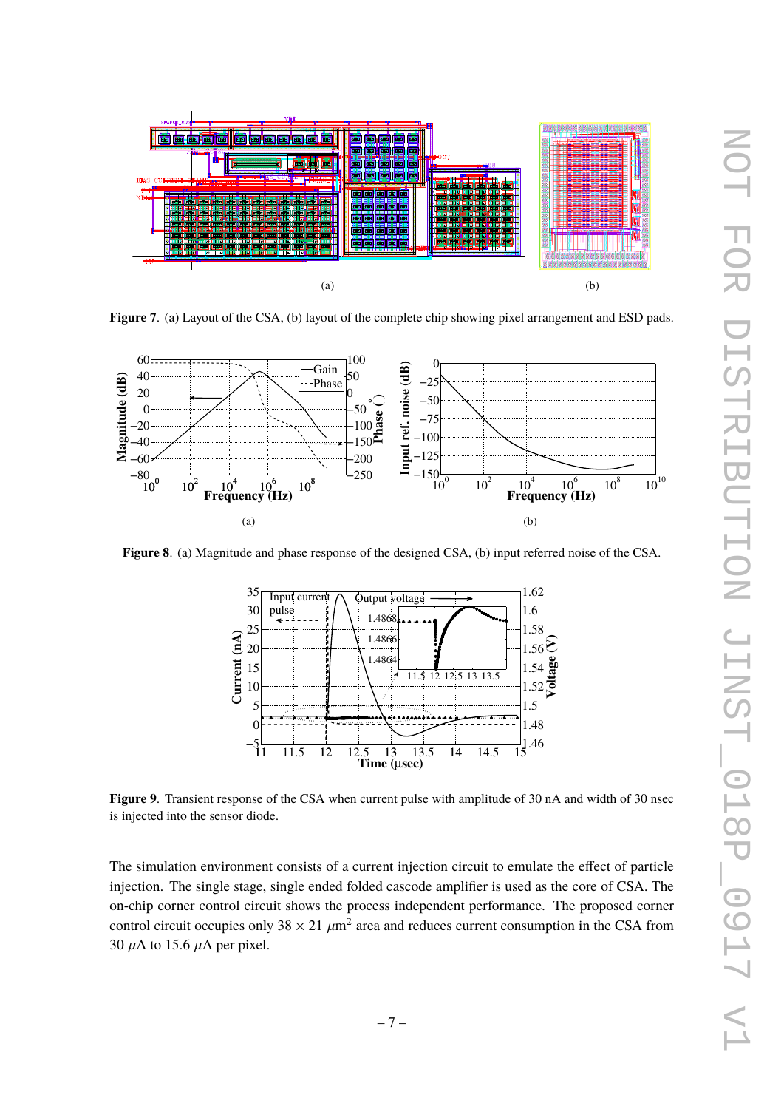<span id="page-8-0"></span>

<span id="page-8-1"></span>**Figure 7**. (a) Layout of the CSA, (b) layout of the complete chip showing pixel arrangement and ESD pads.

<span id="page-8-2"></span>

**Figure 8**. (a) Magnitude and phase response of the designed CSA, (b) input referred noise of the CSA.

<span id="page-8-3"></span>

<span id="page-8-4"></span>**Figure 9.** Transient response of the CSA when current pulse with amplitude of 30 nA and width of 30 nsec is injected into the sensor diode.

The simulation environment consists of a current injection circuit to emulate the effect of particle injection. The single stage, single ended folded cascode amplifier is used as the core of CSA. The on-chip corner control circuit shows the process independent performance. The proposed corner control circuit occupies only  $38 \times 21 \ \mu \text{m}^2$  area and reduces current consumption in the CSA from 30  $\mu$ A to 15.6  $\mu$ A per pixel.